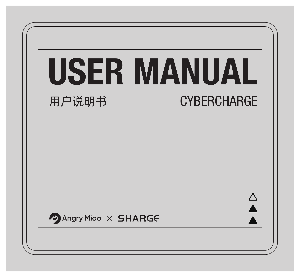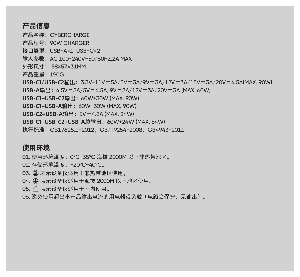# 产品信息

产品名称:CYBERCHARGE 产品型号:90W CHARGER 接口类型:USB-A×1, USB-C×2 输入参数:AC 100-240V~50/60HZ,2A MAX 外形尺寸: 58×57×31MM 产品重量:190G USB-C1/USB-C2输出: 3.3V-11V=5A/5V=3A/9V=3A/12V=3A/15V=3A/20V=4.5A(MAX. 90W)  $USB-A$ 鍮出:  $4.5V = 5A/5V = 4.5A/9V = 3A/12V = 3A/20V = 3A$  (MAX, 60W) USB-C1+USB-C2输出:60W+30W (MAX. 90W) USB-C1+USB-A输出:60W+30W (MAX. 90W) USB-C2+USB-A输出: 5V = 4.8A (MAX. 24W) USB-C1+USB-C2+USB-A总输出:60W+24W (MAX. 84W) 执行标准:GB17625.1-2012,GB/T9254-2008,GB4943-2011

# 使用环境

01. 使用环境温度:0°C-35°C 海拔 2000M 以下非热带地区。 02. 存储环境温度: -20°C-40°C。 03. 表示设备仅适用于非热带地区使用。 04. 表示设备仅适用于海拔 2000M 以下地区使用。 05. 个 表示设备仅适用于室内使用。 06. 避免使用超出本产品输出电流的用电器或负载(电路会保护,无输出)。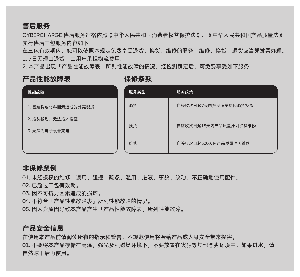# 售后服务

CYBERCHARGE 售后服务严格依照《中华人民共和国消费者权益保护法》、《中华人民共和国产品质量法》 实行售后三包服务内容如下:

在三包有效期内,您可以依照本规定免费享受退货、换货、维修的服务,维修、换货、退货应当凭发票办理。 1. 7日无理由退货,由用户承担物流费用。

2. 本产品出现「产品性能故障表」所列性能故障的情况,经检测确定后,可免费享受如下服务。

## 产品性能故障表 经 保修条款

| 性能故障                           | 服务类型 | 服务政策                 |  |  |
|--------------------------------|------|----------------------|--|--|
| 1. 因结构或材料因素造成的外壳裂损             | 退货   | 自签收次日起7天内产品质量原因退货换货  |  |  |
| 2. 插头松动,无法插入插座<br>3. 无法为电子设备充电 | 换货   | 自签收次日起15天内产品质量原因换货维修 |  |  |
|                                | 维修   | 自签收次日起500天内产品质量原因维修  |  |  |

## 非保修条例

01. 未经授权的维修、误用、碰撞、疏忽、滥用、进液、事故、改动、不正确地使用配件。

02. 已超过三包有效期。

03. 因不可抗力因素造成的损坏。

04. 不符合「产品性能故障表」所列性能故障的情况。

05. 因人为原因导致本产品产生「产品性能故障表」所列性能故障。

## 产品安全信息

在使用本产品前请阅读所有的指示和警告,不规范使用将会给产品或人身安全带来损害。

01. 不要将本产品存储在高温,强光及强磁场环境下,不要放置在火源等其他恶劣环境中,如果进水,请 自然晾干后再使用。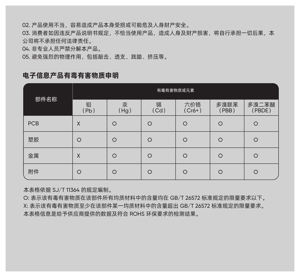02. 产品使用不当,容易造成产品本身受损或可能危及人身财产安全。

03. 消费者如因违反产品说明书规定,不恰当使用产品,造成人身及财产损害,将自行承担一切后果,本 公司将不承担任何法律责任。

04. 非专业人员严禁分解本产品。

05. 避免强烈的物理作用,包括敲击、透支、践踏、挤压等。

## 电子信息产品有毒有害物质申明

| 部件名称 | 有毒有害物质或元素 |           |           |               |               |                 |  |  |  |
|------|-----------|-----------|-----------|---------------|---------------|-----------------|--|--|--|
|      | 铅<br>(Pb) | 汞<br>(Hg) | 镉<br>(Cd) | 六价铬<br>(Cr6+) | 多溴联苯<br>(PBB) | 多溴二苯醚<br>(PBDE) |  |  |  |
| PCB  | X         | $\circ$   | $\circ$   | $\circ$       | $\circ$       | $\circ$         |  |  |  |
| 塑胶   | $\circ$   | $\circ$   | $\circ$   | $\circ$       | $\circ$       | $\circ$         |  |  |  |
| 金属   | X         | $\circ$   | $\circ$   | $\circ$       | $\circ$       | $\circ$         |  |  |  |
| 附件   | $\circ$   | $\circ$   | $\circ$   | $\circ$       | $\circ$       | $\circ$         |  |  |  |

本表格依据 SJ/T 11364 的规定编制。

O: 表示该有毒有害物质在该部件所有均质材料中的含量均在 GB/T 26572 标准规定的限量要求以下。 X: 表示该有毒有害物质至少在该部件某一均质材料中的含量超出 GB/T 26572 标准规定的限量要求。 本表格信息是给予供应商提供的数据及符合 ROHS 环保要求的检测结果。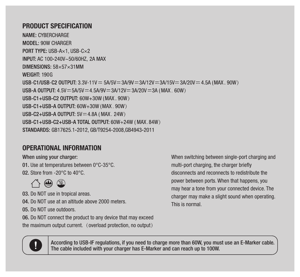## PRODUCT SPECIFICATION

NAME: CYRERCHARGE MODEL: 90W CHARGER PORT TYPE: USB-Ax1\_USB-Cx2 INPUT: AC 100-240V~50/60HZ, 2A MAX DIMENSIONS: 58×57×31MM WEIGHT: 190G USB-C1/USB-C2 OUTPUT: 3.3V-11V = 5A/5V = 3A/9V = 3A/12V = 3A/15V = 3A/20V = 4.5A (MAX 90W) USB-A OUTPUT: 4.5V = 5A/5V = 4.5A/9V = 3A/12V = 3A/20V = 3A (MAX, 60W) IISB-C1+IISB-C2 OIITPHT 60W+30W (MAX 90W) USB-C1+USB-A OUTPUT: 60W+30W (MAX 90W) USB-C2+USB-A OUTPUT: 5V = 4.8A (MAX, 24W) USB-C1+USB-C2+USB-A TOTAL OUTPUT: 60W+24W (MAX.84W) STANDARDS: GB17625.1-2012. GB/T9254-2008.GB4943-2011

# OPERATIONAL INFORMATION

#### When using your charger:

01. Use at temperatures between 0°C-35°C.

02. Store from -20°C to 40°C.



03. Do NOT use in tropical areas.

04. Do NOT use at an altitude above 2000 meters.

05. Do NOT use outdoors.

06. Do NOT connect the product to any device that may exceed

the maximum output current. (overload protection, no output)

When switching between single-port charging and multi-port charging, the charger briefly disconnects and reconnects to redistribute the power between ports. When that happens, you may hear a tone from your connected device. The charger may make a slight sound when operating. This is normal.



According to USB-IF regulations, if you need to charge more than 60W, you must use an E-Marker cable. The cable included with your charger has E-Marker and can reach up to 100W.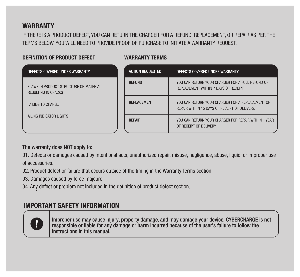# **WARRANTY**

IF THERE IS A PRODUCT DEFECT, YOU CAN RETURN THE CHARGER FOR A REFUND. REPLACEMENT, OR REPAIR AS PER THE TERMS BELOW. YOU WILL NEED TO PROVIDE PROOF OF PURCHASE TO INITIATE A WARRANTY REQUEST.

### DEFINITION OF PRODUCT DEFECT WARRANTY TERMS

| DEFECTS COVERED UNDER WARRANTY                                       | <b>ACTION REQUESTED</b> | DEFECTS COVERED UNDER WARRANTY                                                                    |
|----------------------------------------------------------------------|-------------------------|---------------------------------------------------------------------------------------------------|
| FLAWS IN PRODUCT STRUCTURE OR MATERIAL<br><b>RESULTING IN CRACKS</b> | <b>REFUND</b>           | YOU CAN RETURN YOUR CHARGER FOR A FULL REFUND OR<br>REPLACEMENT WITHIN 7 DAYS OF RECEIPT.         |
| FAILING TO CHARGE                                                    | <b>REPLACEMENT</b>      | YOU CAN RETURN YOUR CHARGER FOR A REPLACEMENT OR<br>REPAIR WITHIN 15 DAYS OF RECEIPT OF DELIVERY. |
| AILING INDICATOR LIGHTS                                              | <b>REPAIR</b>           | YOU CAN RETURN YOUR CHARGER FOR REPAIR WITHIN 1 YEAR<br>OF RECEIPT OF DELIVERY.                   |

## The warranty does NOT apply to:

01. Defects or damages caused by intentional acts, unauthorized repair, misuse, negligence, abuse, liquid, or improper use of accessories.

02. Product defect or failure that occurs outside of the timing in the Warranty Terms section.

03. Damages caused by force majeure.

04. Any defect or problem not included in the definition of product defect section.

# IMPORTANT SAFETY INFORMATION



Improper use may cause injury, property damage, and may damage your device. CYBERCHARGE is not responsible or liable for any damage or harm incurred because of the user's failure to follow the Instructions in this manual.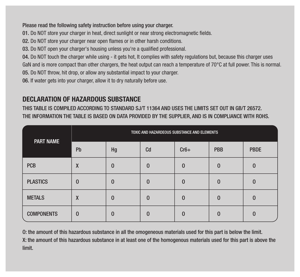## Please read the following safety instruction before using your charger.

01. Do NOT store your charger in heat, direct sunlight or near strong electromagnetic fields.

02. Do NOT store your charger near open flames or in other harsh conditions.

03. Do NOT open your charger's housing unless you're a qualified professional.

04. Do NOT touch the charger while using - it gets hot, It complies with safety regulations but, because this charger uses GaN and is more compact than other chargers, the heat output can reach a temperature of 70°C at full power. This is normal.

05. Do NOT throw, hit drop, or allow any substantial impact to your charger.

06. If water gets into your charger, allow it to dry naturally before use.

# DECLARATION OF HAZARDOUS SUBSTANCE

THIS TABLE IS COMPILED ACCORDING TO STANDARD SJ/T 11364 AND USES THE LIMITS SET OUT IN GB/T 26572. THE INFORMATION THE TABLE IS BASED ON DATA PROVIDED BY THE SUPPLIER, AND IS IN COMPLIANCE WITH ROHS.

| PART NAME         | TOXIC AND HAZARDEOUS SUBSTANCE AND ELEMENTS |              |          |          |          |             |  |  |  |
|-------------------|---------------------------------------------|--------------|----------|----------|----------|-------------|--|--|--|
|                   | Pb                                          | Hg           | Cd       | $Cr6+$   | PBB      | <b>PBDE</b> |  |  |  |
| <b>PCB</b>        | X                                           | $\mathbf{0}$ | $\Omega$ | $\Omega$ | $\Omega$ |             |  |  |  |
| <b>PLASTICS</b>   | $\Omega$                                    | $\mathbf 0$  | $\Omega$ | $\Omega$ | $\Omega$ |             |  |  |  |
| <b>METALS</b>     | X                                           | $\Omega$     | $\Omega$ | $\Omega$ | $\Omega$ |             |  |  |  |
| <b>COMPONENTS</b> | $\Omega$                                    | $\Omega$     | $\Omega$ | n        | $\Omega$ |             |  |  |  |

O: the amount of this hazardous substance in all the omogeneous materials used for this part is below the limit.

X: the amount of this hazardous substance in at least one of the homogenous materials used for this part is above the limit.